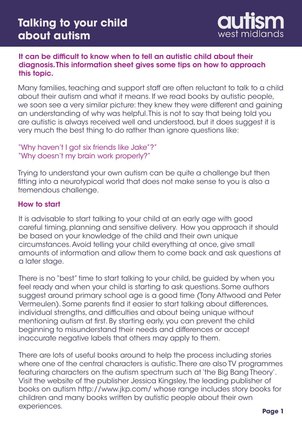

# It can be difficult to know when to tell an autistic child about their diagnosis. This information sheet gives some tips on how to approach this topic.

Many families, teaching and support staff are often reluctant to talk to a child about their autism and what it means. If we read books by autistic people, we soon see a very similar picture: they knew they were different and gaining an understanding of why was helpful. This is not to say that being told you are autistic is always received well and understood, but it does suggest it is very much the best thing to do rather than ignore questions like:

"Why haven't I got six friends like Jake"?" "Why doesn't my brain work properly?"

Trying to understand your own autism can be quite a challenge but then fitting into a neurotypical world that does not make sense to you is also a tremendous challenge.

# How to start

It is advisable to start talking to your child at an early age with good careful timing, planning and sensitive delivery. How you approach it should be based on your knowledge of the child and their own unique circumstances. Avoid telling your child everything at once, give small amounts of information and allow them to come back and ask questions at a later stage.

There is no "best" time to start talking to your child, be guided by when you feel ready and when your child is starting to ask questions. Some authors suggest around primary school age is a good time (Tony Attwood and Peter Vermeulen). Some parents find it easier to start talking about differences, individual strengths, and difficulties and about being unique without mentioning autism at first. By starting early, you can prevent the child beginning to misunderstand their needs and differences or accept inaccurate negative labels that others may apply to them.

There are lots of useful books around to help the process including stories where one of the central characters is autistic. There are also TV programmes featuring characters on the autism spectrum such at 'the Big Bang Theory'. Visit the website of the publisher Jessica Kingsley, the leading publisher of books on autism http://www.jkp.com/ whose range includes story books for children and many books written by autistic people about their own experiences.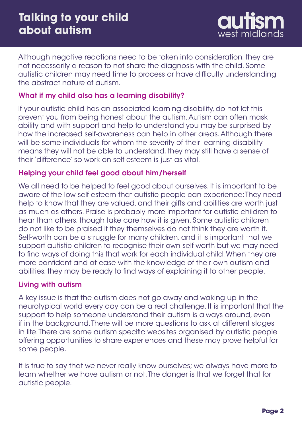

Although negative reactions need to be taken into consideration, they are not necessarily a reason to not share the diagnosis with the child. Some autistic children may need time to process or have difficulty understanding the abstract nature of autism.

### What if my child also has a learning disability?

If your autistic child has an associated learning disability, do not let this prevent you from being honest about the autism. Autism can often mask ability and with support and help to understand you may be surprised by how the increased self-awareness can help in other areas. Although there will be some individuals for whom the severity of their learning disability means they will not be able to understand, they may still have a sense of their 'difference' so work on self-esteem is just as vital.

#### Helping your child feel good about him/herself

We all need to be helped to feel good about ourselves. It is important to be aware of the low self-esteem that autistic people can experience: They need help to know that they are valued, and their gifts and abilities are worth just as much as others. Praise is probably more important for autistic children to hear than others, though take care how it is given. Some autistic children do not like to be praised if they themselves do not think they are worth it. Self-worth can be a struggle for many children, and it is important that we support autistic children to recognise their own self-worth but we may need to find ways of doing this that work for each individual child. When they are more confident and at ease with the knowledge of their own autism and abilities, they may be ready to find ways of explaining it to other people.

### Living with autism

A key issue is that the autism does not go away and waking up in the neurotypical world every day can be a real challenge. It is important that the support to help someone understand their autism is always around, even if in the background. There will be more questions to ask at different stages in life. There are some autism specific websites organised by autistic people offering opportunities to share experiences and these may prove helpful for some people.

It is true to say that we never really know ourselves; we always have more to learn whether we have autism or not. The danger is that we forget that for autistic people.